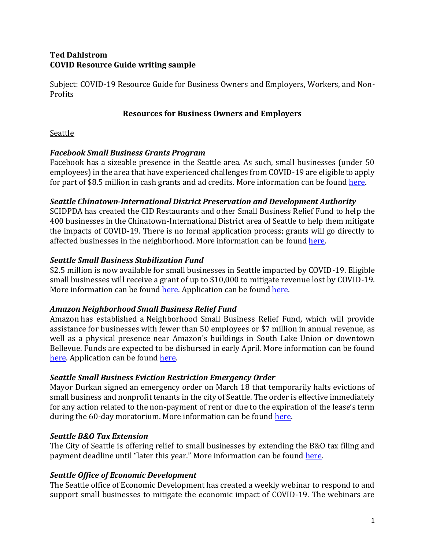# **Ted Dahlstrom COVID Resource Guide writing sample**

Subject: COVID-19 Resource Guide for Business Owners and Employers, Workers, and Non-Profits

## **Resources for Business Owners and Employers**

### **Seattle**

## *Facebook Small Business Grants Program*

Facebook has a sizeable presence in the Seattle area. As such, small businesses (under 50 employees) in the area that have experienced challenges from COVID-19 are eligible to apply for part of \$8.5 million in cash grants and ad credits. More information can be foun[d here.](https://www.facebook.com/business/boost/grants?ref=alias)

## *Seattle Chinatown-International District Preservation and Development Authority*

SCIDPDA has created the CID Restaurants and other Small Business Relief Fund to help the 400 businesses in the Chinatown-International District area of Seattle to help them mitigate the impacts of COVID-19. There is no formal application process; grants will go directly to affected businesses in the neighborhood. More information can be foun[d here.](https://scidpda.org/cidbizrelief/?mc_cid=d5a9299c33&mc_eid=acb520591e)

## *Seattle Small Business Stabilization Fund*

\$2.5 million is now available for small businesses in Seattle impacted by COVID-19. Eligible small businesses will receive a grant of up to \$10,000 to mitigate revenue lost by COVID-19. More information can be foun[d here.](http://www.seattle.gov/office-of-economic-development/small-business/small-business-programs-/stabilization-fund-) Application can be found [here.](https://seattle.surveymonkey.com/r/RJ57GQN)

## *Amazon Neighborhood Small Business Relief Fund*

Amazon has established a Neighborhood Small Business Relief Fund, which will provide assistance for businesses with fewer than 50 employees or \$7 million in annual revenue, as well as a physical presence near Amazon's buildings in South Lake Union or downtown Bellevue. Funds are expected to be disbursed in early April. More information can be found [here.](https://blog.aboutamazon.com/job-creation-and-investment/helping-local-small-businesses-through-the-impacts-of-covid-19) Application can be found [here.](https://amazonsmallbusinessrelief.force.com/SelfRegisterPage)

## *Seattle Small Business Eviction Restriction Emergency Order*

Mayor Durkan signed an emergency order on March 18 that temporarily halts evictions of small business and nonprofit tenants in the city of Seattle. The order is effective immediately for any action related to the non-payment of rent or due to the expiration of the lease's term during the 60-day moratorium. More information can be found [here.](https://durkan.seattle.gov/wp-content/uploads/sites/9/2020/03/Civil-Emergency-Order-Moratorium-on-Small-Business-Tenant-Evictions-3.17.20.pdf)

## *Seattle B&O Tax Extension*

The City of Seattle is offering relief to small businesses by extending the B&O tax filing and payment deadline until "later this year." More information can be found [here.](https://www.seattle.gov/Documents/Departments/FAS/BusinessLicenseTax/FilingExtension.pdf)

## *Seattle Office of Economic Development*

The Seattle office of Economic Development has created a weekly webinar to respond to and support small businesses to mitigate the economic impact of COVID-19. The webinars are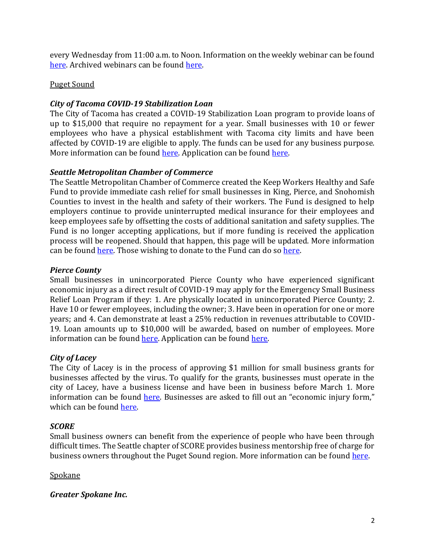every Wednesday from 11:00 a.m. to Noon. Information on the weekly webinar can be found [here.](https://register.gotowebinar.com/rt/6719471105046052620) Archived webinars can be found [here.](https://bottomline.seattle.gov/)

### Puget Sound

### *City of Tacoma COVID-19 Stabilization Loan*

The City of Tacoma has created a COVID-19 Stabilization Loan program to provide loans of up to \$15,000 that require no repayment for a year. Small businesses with 10 or fewer employees who have a physical establishment with Tacoma city limits and have been affected by COVID-19 are eligible to apply. The funds can be used for any business purpose. More information can be foun[d here.](https://makeittacoma.com/business-employer-resources-for-covid-19-response-2-2/financial-support/faqs-city-of-tacoma-covid-19-stabilization-loan/) Application can be found [here.](https://makeittacoma.com/business-employer-resources-for-covid-19-response-2-2/financial-support/covid-19-stabilization-loan-pre-application/) 

### *Seattle Metropolitan Chamber of Commerce*

The Seattle Metropolitan Chamber of Commerce created the Keep Workers Healthy and Safe Fund to provide immediate cash relief for small businesses in King, Pierce, and Snohomish Counties to invest in the health and safety of their workers. The Fund is designed to help employers continue to provide uninterrupted medical insurance for their employees and keep employees safe by offsetting the costs of additional sanitation and safety supplies. The Fund is no longer accepting applications, but if more funding is received the application process will be reopened. Should that happen, this page will be updated. More information can be found [here.](https://www.keepworkershealthyandsafe.com/) Those wishing to donate to the Fund can do so [here.](https://www.keepworkershealthyandsafe.com/donate)

### *Pierce County*

Small businesses in unincorporated Pierce County who have experienced significant economic injury as a direct result of COVID-19 may apply for the Emergency Small Business Relief Loan Program if they: 1. Are physically located in unincorporated Pierce County; 2. Have 10 or fewer employees, including the owner; 3. Have been in operation for one or more years; and 4. Can demonstrate at least a 25% reduction in revenues attributable to COVID-19. Loan amounts up to \$10,000 will be awarded, based on number of employees. More information can be found [here.](https://www.cognitoforms.com/PierceCounty2/PierceCountyCOVID19SmallBusinessReliefLoanProgramApplication) Application can be found here.

## *City of Lacey*

The City of Lacey is in the process of approving \$1 million for small business grants for businesses affected by the virus. To qualify for the grants, businesses must operate in the city of Lacey, have a business license and have been in business before March 1. More information can be found [here](https://www.theolympian.com/news/local/article241361116.html). Businesses are asked to fill out an "economic injury form," which can be found here.

## *SCORE*

Small business owners can benefit from the experience of people who have been through difficult times. The Seattle chapter of SCORE provides business mentorship free of charge for business owners throughout the Puget Sound region. More information can be found [here.](https://seattle.score.org/content/find-mentor-289)

Spokane

## *Greater Spokane Inc.*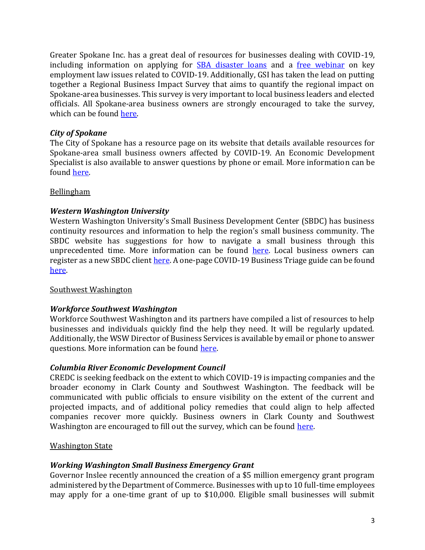Greater Spokane Inc. has a great deal of resources for businesses dealing with COVID-19, including information on applying for **[SBA disaster loans](https://greaterspokane.org/covid-19-small-business-resources/)** and a [free webinar](https://web.greaterspokane.org/events/BizStreet-COVID-19-in-the-Workplace-Employer-Law-Q-A-2935/details) on key employment law issues related to COVID-19. Additionally, GSI has taken the lead on putting together a Regional Business Impact Survey that aims to quantify the regional impact on Spokane-area businesses. This survey is very important to local business leaders and elected officials. All Spokane-area business owners are strongly encouraged to take the survey, which can be found here.

### *City of Spokane*

The City of Spokane has a resource page on its website that details available resources for Spokane-area small business owners affected by COVID-19. An Economic Development Specialist is also available to answer questions by phone or email. More information can be foun[d here.](https://my.spokanecity.org/economicdevelopment/small-business-resources/)

#### Bellingham

### *Western Washington University*

Western Washington University's Small Business Development Center (SBDC) has business continuity resources and information to help the region's small business community. The SBDC website has suggestions for how to navigate a small business through this unprecedented time. More information can be found [here.](https://sbdc.wwu.edu/business-continuity-resources) Local business owners can register as a new SBDC client [here.](https://wsbdc.ecenterdirect.com/signup) A one-page COVID-19 Business Triage guide can be found [here.](https://sbdc.wwu.edu/sites/sbdcprod7x1302.wwu.edu/files/Business%20Triage%20Action%20Items.pdf) 

#### Southwest Washington

#### *Workforce Southwest Washington*

Workforce Southwest Washington and its partners have compiled a list of resources to help businesses and individuals quickly find the help they need. It will be regularly updated. Additionally, the WSW Director of Business Services is available by email or phone to answer questions. More information can be found [here.](https://workforcesw.org/covid-19-business-resources)

#### *Columbia River Economic Development Council*

CREDC is seeking feedback on the extent to which COVID-19 is impacting companies and the broader economy in Clark County and Southwest Washington. The feedback will be communicated with public officials to ensure visibility on the extent of the current and projected impacts, and of additional policy remedies that could align to help affected companies recover more quickly. Business owners in Clark County and Southwest Washington are encouraged to fill out the survey, which can be found [here.](https://www.surveymonkey.com/r/JP32QCB)

#### Washington State

#### *Working Washington Small Business Emergency Grant*

Governor Inslee recently announced the creation of a \$5 million emergency grant program administered by the Department of Commerce. Businesses with up to 10 full-time employees may apply for a one-time grant of up to \$10,000. Eligible small businesses will submit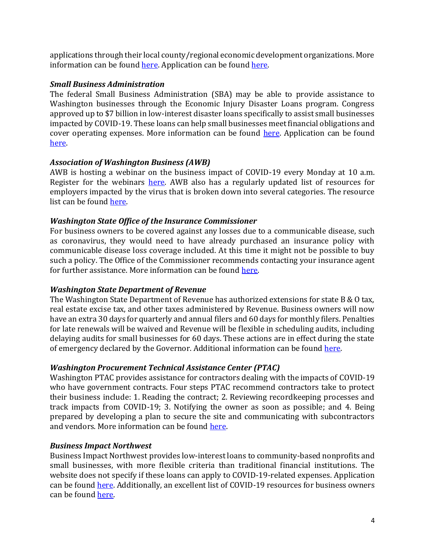applications through their local county/regional economic development organizations. More information can be found [here.](http://startup.choosewashingtonstate.com/covid-grants/) Application can be foun[d here.](http://startup.choosewashingtonstate.com/wp-content/uploads/2020/04/4-2020-WWSB-Grant-Application-final.pdf)

### *Small Business Administration*

The federal Small Business Administration (SBA) may be able to provide assistance to Washington businesses through the Economic Injury Disaster Loans program. Congress approved up to \$7 billion in low-interest disaster loans specifically to assist small businesses impacted by COVID-19. These loans can help small businesses meet financial obligations and cover operating expenses. More information can be found [here.](https://disasterloan.sba.gov/ela/Information/ApplyOnline?utm_medium=email&utm_source=govdelivery) Application can be found [here.](https://disasterloan.sba.gov/ela/Account/Login) 

### *Association of Washington Business (AWB)*

AWB is hosting a webinar on the business impact of COVID-19 every Monday at 10 a.m. Register for the webinars [here.](https://www.awb.org/events/?cid=741) AWB also has a regularly updated list of resources for employers impacted by the virus that is broken down into several categories. The resource list can be foun[d here.](https://www.awb.org/covid-19-resources)

### *Washington State Office of the Insurance Commissioner*

For business owners to be covered against any losses due to a communicable disease, such as coronavirus, they would need to have already purchased an insurance policy with communicable disease loss coverage included. At this time it might not be possible to buy such a policy. The Office of the Commissioner recommends contacting your insurance agent for further assistance. More information can be found [here.](https://www.insurance.wa.gov/coronavirus-insurance-information-businesses)

#### *Washington State Department of Revenue*

The Washington State Department of Revenue has authorized extensions for state B & O tax, real estate excise tax, and other taxes administered by Revenue. Business owners will now have an extra 30 days for quarterly and annual filers and 60 days for monthly filers. Penalties for late renewals will be waived and Revenue will be flexible in scheduling audits, including delaying audits for small businesses for 60 days. These actions are in effect during the state of emergency declared by the Governor. Additional information can be found [here.](https://dor.wa.gov/about/business-relief-during-covid-19-pandemic)

#### *Washington Procurement Technical Assistance Center (PTAC)*

Washington PTAC provides assistance for contractors dealing with the impacts of COVID-19 who have government contracts. Four steps PTAC recommend contractors take to protect their business include: 1. Reading the contract; 2. Reviewing recordkeeping processes and track impacts from COVID-19; 3. Notifying the owner as soon as possible; and 4. Being prepared by developing a plan to secure the site and communicating with subcontractors and vendors. More information can be found [here.](https://mailchi.mp/washingtonptac/november-p-talk-bid-opportunities-news-upcoming-events-1147057)

#### *Business Impact Northwest*

Business Impact Northwest provides low-interest loans to community-based nonprofits and small businesses, with more flexible criteria than traditional financial institutions. The website does not specify if these loans can apply to COVID-19-related expenses. Application can be found [here.](https://businessimpactnw.org/loan/apply/) Additionally, an excellent list of COVID-19 resources for business owners can be found [here.](https://businessimpactnw.org/resources/)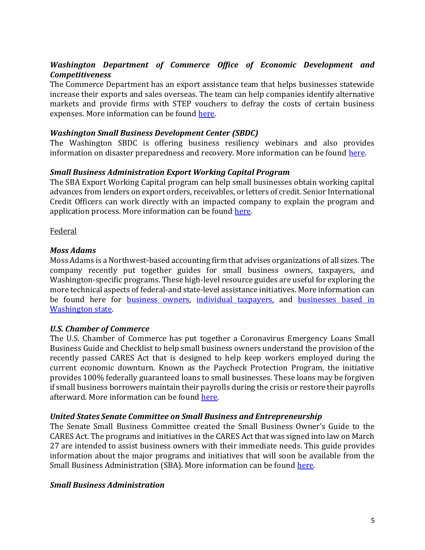## *Washington Department of Commerce Office of Economic Development and Competitiveness*

The Commerce Department has an export assistance team that helps businesses statewide increase their exports and sales overseas. The team can help companies identify alternative markets and provide firms with STEP vouchers to defray the costs of certain business expenses. More information can be found [here.](https://www.commerce.wa.gov/promoting-washington-state/export-assistance/)

#### *Washington Small Business Development Center (SBDC)*

The Washington SBDC is offering business resiliency webinars and also provides information on disaster preparedness and recovery. More information can be found [here.](https://wsbdc.org/protect-your-business/)

#### *Small Business Administration Export Working Capital Program*

The SBA Export Working Capital program can help small businesses obtain working capital advances from lenders on export orders, receivables, or letters of credit. Senior International Credit Officers can work directly with an impacted company to explain the program and application process. More information can be found [here.](https://www.sba.gov/content/financing-your-small-business-exports-foreign-investments-or-projects-0)

Federal

#### *Moss Adams*

Moss Adams is a Northwest-based accounting firm that advises organizations of all sizes. The company recently put together guides for small business owners, taxpayers, and Washington-specific programs. These high-level resource guides are useful for exploring the more technical aspects of federal-and state-level assistance initiatives. More information can be found here for [business owners,](https://www.mossadams.com/articles/2020/03/cares-act-covid-19-tax-relief-for-businesses) [individual taxpayers,](https://www.mossadams.com/articles/2020/03/cares-act-covid-19-relief-for-individuals) and [businesses based in](https://www.mossadams.com/articles/2020/03/covid-19-relief-for-washington-businesses)  [Washington](https://www.mossadams.com/articles/2020/03/covid-19-relief-for-washington-businesses) state.

#### *U.S. Chamber of Commerce*

The U.S. Chamber of Commerce has put together a Coronavirus Emergency Loans Small Business Guide and Checklist to help small business owners understand the provision of the recently passed CARES Act that is designed to help keep workers employed during the current economic downturn. Known as the Paycheck Protection Program, the initiative provides 100% federally guaranteed loans to small businesses. These loans may be forgiven if small business borrowers maintain their payrolls during the crisis or restore their payrolls afterward. More information can be found [here.](https://www.uschamber.com/sites/default/files/023595_comm_corona_virus_smallbiz_loan_final.pdf) 

#### *United States Senate Committee on Small Business and Entrepreneurship*

The Senate Small Business Committee created the Small Business Owner's Guide to the CARES Act. The programs and initiatives in the CARES Act that was signed into law on March 27 are intended to assist business owners with their immediate needs. This guide provides information about the major programs and initiatives that will soon be available from the Small Business Administration (SBA). More information can be found [here.](https://www.cantwell.senate.gov/imo/media/doc/Small%20Business%20Owners%20Guide%20to%20the%20CARES%20Act%20final.pdf)

#### *Small Business Administration*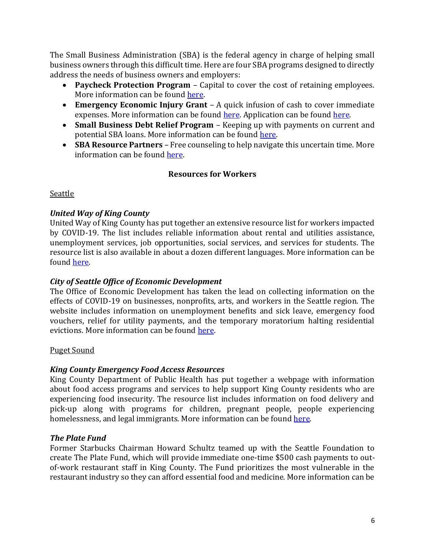The Small Business Administration (SBA) is the federal agency in charge of helping small business owners through this difficult time. Here are four SBA programs designed to directly address the needs of business owners and employers:

- **Paycheck Protection Program** Capital to cover the cost of retaining employees. More information can be foun[d here.](https://www.sba.gov/funding-programs/loans/paycheck-protection-program-ppp)
- **Emergency Economic Injury Grant** A quick infusion of cash to cover immediate expenses. More information can be found [here.](https://covid19relief.sba.gov/#/) Application can be found here.
- **Small Business Debt Relief Program** Keeping up with payments on current and potential SBA loans. More information can be found [here.](https://www.sba.gov/funding-programs/loans)
- **SBA Resource Partners** Free counseling to help navigate this uncertain time. More information can be found [here.](https://www.sba.gov/brand/assets/sba/resource-partners/SBA-ResourcePartnerNetwork-508_MCS0090.pdf)

## **Resources for Workers**

Seattle

## *United Way of King County*

United Way of King County has put together an extensive resource list for workers impacted by COVID-19. The list includes reliable information about rental and utilities assistance, unemployment services, job opportunities, social services, and services for students. The resource list is also available in about a dozen different languages. More information can be foun[d here.](https://www.uwkc.org/need-help/covid-19-resources/)

## *City of Seattle Office of Economic Development*

The Office of Economic Development has taken the lead on collecting information on the effects of COVID-19 on businesses, nonprofits, arts, and workers in the Seattle region. The website includes information on unemployment benefits and sick leave, emergency food vouchers, relief for utility payments, and the temporary moratorium halting residential evictions. More information can be found here.

#### Puget Sound

## *King County Emergency Food Access Resources*

King County Department of Public Health has put together a webpage with information about food access programs and services to help support King County residents who are experiencing food insecurity. The resource list includes information on food delivery and pick-up along with programs for children, pregnant people, people experiencing homelessness, and legal immigrants. More information can be found [here.](http://www.kingcounty.gov/covid/emergency-food)

#### *The Plate Fund*

Former Starbucks Chairman Howard Schultz teamed up with the Seattle Foundation to create The Plate Fund, which will provide immediate one-time \$500 cash payments to outof-work restaurant staff in King County. The Fund prioritizes the most vulnerable in the restaurant industry so they can afford essential food and medicine. More information can be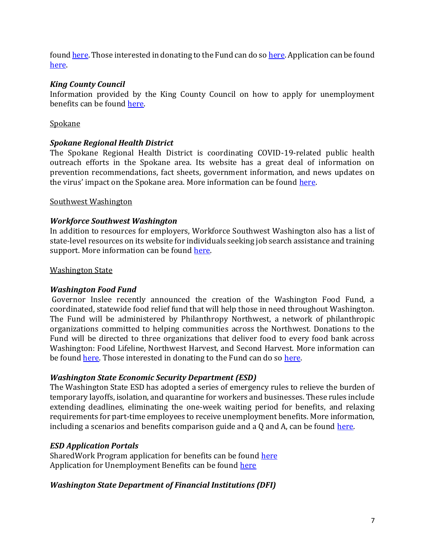foun[d here.](https://www.theplatefund.com/) Those interested in donating to the Fund can do so [here.](https://connect.clickandpledge.com/w/Form/89595d84-1566-4aa4-9298-afce0f2fb233) Application can be found [here.](https://www.theplatefund.com/apply)

### *King County Council*

Information provided by the King County Council on how to apply for unemployment benefits can be found [here.](https://kingcounty.gov/~/media/Council/documents/2020/UnemploymentBenefits-COVID19-3,-d-,16,-d-,20.ashx?la=en) 

### Spokane

### *Spokane Regional Health District*

The Spokane Regional Health District is coordinating COVID-19-related public health outreach efforts in the Spokane area. Its website has a great deal of information on prevention recommendations, fact sheets, government information, and news updates on the virus' impact on the Spokane area. More information can be found [here.](https://srhd.org/covid19)

#### Southwest Washington

#### *Workforce Southwest Washington*

In addition to resources for employers, Workforce Southwest Washington also has a list of state-level resources on its website for individuals seeking job search assistance and training support. More information can be found [here.](https://workforcesw.org/covid-19-resources-for-individuals)

#### Washington State

#### *Washington Food Fund*

Governor Inslee recently announced the creation of the Washington Food Fund, a coordinated, statewide food relief fund that will help those in need throughout Washington. The Fund will be administered by Philanthropy Northwest, a network of philanthropic organizations committed to helping communities across the Northwest. Donations to the Fund will be directed to three organizations that deliver food to every food bank across Washington: Food Lifeline, Northwest Harvest, and Second Harvest. More information can be foun[d here.](https://medium.com/wagovernor/inslee-leading-nonprofits-launch-fund-for-states-food-banks-as-supply-levels-drop-1dacbb05fcb7) Those interested in donating to the Fund can do so [here.](https://philanthropynw.org/wa-food-fund)

#### *Washington State Economic Security Department (ESD)*

The Washington State ESD has adopted a series of emergency rules to relieve the burden of temporary layoffs, isolation, and quarantine for workers and businesses. These rules include extending deadlines, eliminating the one-week waiting period for benefits, and relaxing requirements for part-time employees to receive unemployment benefits. More information, including a scenarios and benefits comparison guide and a Q and A, can be found [here.](https://esd.wa.gov/newsroom/covid-19#reduction-in-staff)

#### *ESD Application Portals*

SharedWork Program application for benefits can be found [here](https://www.esd.wa.gov/SharedWork/apply) Application for Unemployment Benefits can be found [here](https://secure.esd.wa.gov/home/)

#### *Washington State Department of Financial Institutions (DFI)*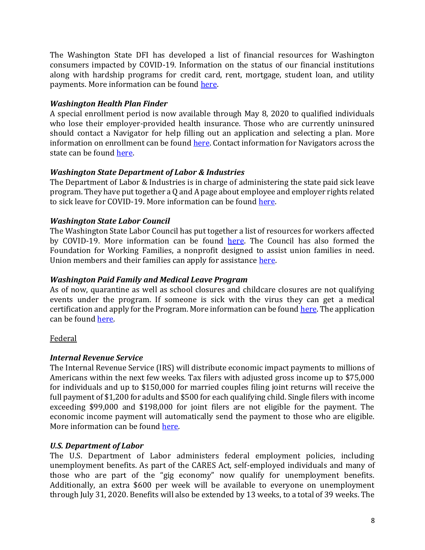The Washington State DFI has developed a list of financial resources for Washington consumers impacted by COVID-19. Information on the status of our financial institutions along with hardship programs for credit card, rent, mortgage, student loan, and utility payments. More information can be found [here.](https://dfi.wa.gov/coronavirus-financial-resources)

# *Washington Health Plan Finder*

A special enrollment period is now available through May 8, 2020 to qualified individuals who lose their employer-provided health insurance. Those who are currently uninsured should contact a Navigator for help filling out an application and selecting a plan. More information on enrollment can be foun[d here.](https://www.wahealthplanfinder.org/_content/find-expert-advice.html) Contact information for Navigators across the state can be found [here.](https://www.wahealthplanfinder.org/HBEWeb/Annon_DisplayBrokerNavigatorSearch.action?brokerNavigator=NAV&request_locale=en)

# *Washington State Department of Labor & Industries*

The Department of Labor & Industries is in charge of administering the state paid sick leave program. They have put together a Q and A page about employee and employer rights related to sick leave for COVID-19. More information can be foun[d here.](https://lni.wa.gov/agency/outreach/paid-sick-leave-and-coronavirus-covid-19-common-questions)

# *Washington State Labor Council*

The Washington State Labor Council has put together a list of resources for workers affected by COVID-19. More information can be found [here.](https://www.wslc.org/covid-19/) The Council has also formed the Foundation for Working Families, a nonprofit designed to assist union families in need. Union members and their families can apply for assistance [here.](https://www.thestand.org/wp-content/uploads/2020/03/FFWF-Hardship-Request-NEW.pdf)

# *Washington Paid Family and Medical Leave Program*

As of now, quarantine as well as school closures and childcare closures are not qualifying events under the program. If someone is sick with the virus they can get a medical certification and apply for the Program. More information can be found [here.](https://paidleave.wa.gov/coronavirus/) The application can be found [here.](https://paidleave.wa.gov/apply-now/)

## Federal

## *Internal Revenue Service*

The Internal Revenue Service (IRS) will distribute economic impact payments to millions of Americans within the next few weeks. Tax filers with adjusted gross income up to \$75,000 for individuals and up to \$150,000 for married couples filing joint returns will receive the full payment of \$1,200 for adults and \$500 for each qualifying child. Single filers with income exceeding \$99,000 and \$198,000 for joint filers are not eligible for the payment. The economic income payment will automatically send the payment to those who are eligible. More information can be foun[d here.](https://www.irs.gov/newsroom/economic-impact-payments-what-you-need-to-know)

# *U.S. Department of Labor*

The U.S. Department of Labor administers federal employment policies, including unemployment benefits. As part of the CARES Act, self-employed individuals and many of those who are part of the "gig economy" now qualify for unemployment benefits. Additionally, an extra \$600 per week will be available to everyone on unemployment through July 31, 2020. Benefits will also be extended by 13 weeks, to a total of 39 weeks. The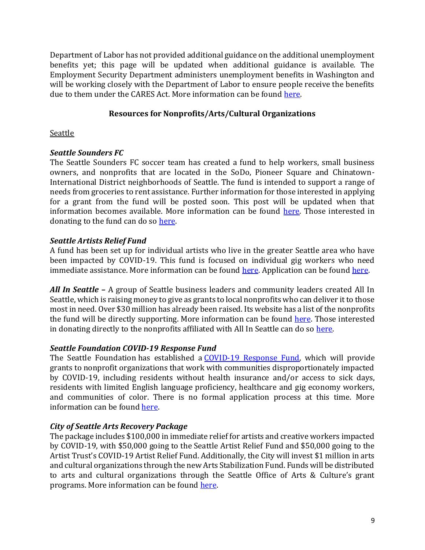Department of Labor has not provided additional guidance on the additional unemployment benefits yet; this page will be updated when additional guidance is available. The Employment Security Department administers unemployment benefits in Washington and will be working closely with the Department of Labor to ensure people receive the benefits due to them under the CARES Act. More information can be found [here.](https://esd.wa.gov/newsroom/covid-19#stimulus)

## **Resources for Nonprofits/Arts/Cultural Organizations**

## **Seattle**

# *Seattle Sounders FC*

The Seattle Sounders FC soccer team has created a fund to help workers, small business owners, and nonprofits that are located in the SoDo, Pioneer Square and Chinatown-International District neighborhoods of Seattle. The fund is intended to support a range of needs from groceries to rent assistance. Further information for those interested in applying for a grant from the fund will be posted soon. This post will be updated when that information becomes available. More information can be found [here.](SoundersFC.com/COVID-19/ReliefFund) Those interested in donating to the fund can do so [here.](https://secure.givelively.org/donate/rave-foundation/seattle-sounders-fc-relief-fund)

# *Seattle Artists Relief Fund*

A fund has been set up for individual artists who live in the greater Seattle area who have been impacted by COVID-19. This fund is focused on individual gig workers who need immediate assistance. More information can be found [here.](https://www.gofundme.com/f/for-artists?utm_medium=copy_link&utm_source=customer&utm_campaign=p_lico+share-sheet) Application can be found [here.](https://www.surveymonkey.com/r/LHJNLQV)

*All In Seattle –* A group of Seattle business leaders and community leaders created All In Seattle, which is raising money to give as grants to local nonprofits who can deliver it to those most in need. Over \$30 million has already been raised. Its website has a list of the nonprofits the fund will be directly supporting. More information can be found [here.](https://allinseattle.org/) Those interested in donating directly to the nonprofits affiliated with All In Seattle can do so [here.](https://allinseattle.org/donate)

# *Seattle Foundation COVID-19 Response Fund*

The Seattle Foundation has established a [COVID-19 Response Fund,](https://www.seattlefoundation.org/communityimpact/civic-leadership/covid-19-response-fund) which will provide grants to nonprofit organizations that work with communities disproportionately impacted by COVID-19, including residents without health insurance and/or access to sick days, residents with limited English language proficiency, healthcare and gig economy workers, and communities of color. There is no formal application process at this time. More information can be found [here.](https://www.seattlefoundation.org/communityimpact/civic-leadership/covid-19-response-fund)

# *City of Seattle Arts Recovery Package*

The package includes \$100,000 in immediate relief for artists and creative workers impacted by COVID-19, with \$50,000 going to the Seattle Artist Relief Fund and \$50,000 going to the Artist Trust's COVID-19 Artist Relief Fund. Additionally, the City will invest \$1 million in arts and cultural organizations through the new Arts Stabilization Fund. Funds will be distributed to arts and cultural organizations through the Seattle Office of Arts & Culture's grant programs. More information can be found [here.](https://durkan.seattle.gov/2020/03/mayor-durkan-announces-initial-1-1-million-arts-recovery-package-to-support-creative-workers-and-arts-and-cultural-organizations-impacted-by-covid-19/)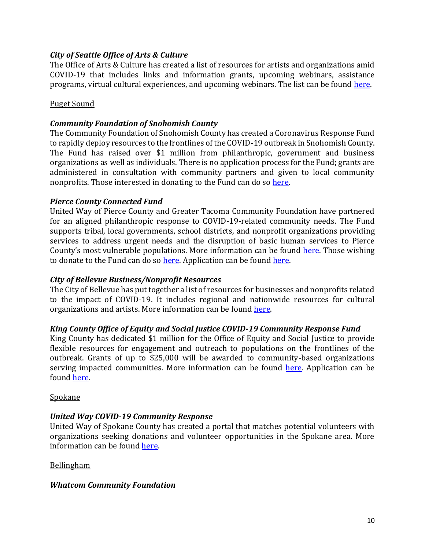### *City of Seattle Office of Arts & Culture*

The Office of Arts & Culture has created a list of resources for artists and organizations amid COVID-19 that includes links and information grants, upcoming webinars, assistance programs, virtual cultural experiences, and upcoming webinars. The list can be found [here.](https://docs.google.com/spreadsheets/d/19dm4e1q8bVIQl44YJFcO057HL_fmSWxI/edit#gid=221730633)

#### Puget Sound

#### *Community Foundation of Snohomish County*

The Community Foundation of Snohomish County has created a Coronavirus Response Fund to rapidly deploy resources to the frontlines of the COVID-19 outbreak in Snohomish County. The Fund has raised over \$1 million from philanthropic, government and business organizations as well as individuals. There is no application process for the Fund; grants are administered in consultation with community partners and given to local community nonprofits. Those interested in donating to the Fund can do s[o here.](https://cfsc.fcsuite.com/erp/donate/create?funit_id=1363)

#### *Pierce County Connected Fund*

United Way of Pierce County and Greater Tacoma Community Foundation have partnered for an aligned philanthropic response to COVID-19-related community needs. The Fund supports tribal, local governments, school districts, and nonprofit organizations providing services to address urgent needs and the disruption of basic human services to Pierce County's most vulnerable populations. More information can be found [here.](https://www.gtcf.org/initiatives/pierce-county-connected/) Those wishing to donate to the Fund can do so [here.](https://ssl.charityweb.net/uwpc/COVID19.htm) Application can be found [here.](https://www.grantinterface.com/Home/Logon?urlkey=gtcf)

#### *City of Bellevue Business/Nonprofit Resources*

The City of Bellevue has put together a list of resources for businesses and nonprofits related to the impact of COVID-19. It includes regional and nationwide resources for cultural organizations and artists. More information can be found [here.](https://bellevuewa.gov/city-government/departments/city-managers-office/communications/emergencies/covid-19/business-resources)

#### *King County Office of Equity and Social Justice COVID-19 Community Response Fund*

King County has dedicated \$1 million for the Office of Equity and Social Justice to provide flexible resources for engagement and outreach to populations on the frontlines of the outbreak. Grants of up to \$25,000 will be awarded to community-based organizations serving impacted communities. More information can be found [here.](https://www.kingcounty.gov/~/media/elected/executive/equity-social-justice/2020/COVID-19/KC-COVID-19-Community-Response-Fund.ashx?la=en) Application can be foun[d here.](https://www.kingcounty.gov/~/media/elected/executive/equity-social-justice/2020/COVID-19/KC-COVI-19-Community-Response-Fund-ApplicationForm2.ashx?la=en)

#### **Spokane**

## *United Way COVID-19 Community Response*

United Way of Spokane County has created a portal that matches potential volunteers with organizations seeking donations and volunteer opportunities in the Spokane area. More information can be found [here.](https://www.volunteerspokane.org/need/?s=1&need_init_id=2945)

#### Bellingham

#### *Whatcom Community Foundation*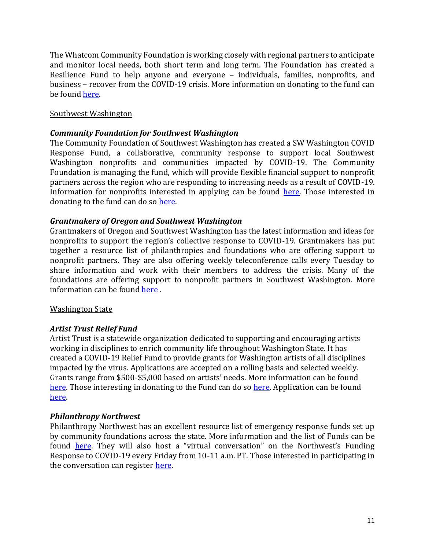The Whatcom Community Foundation is working closely with regional partners to anticipate and monitor local needs, both short term and long term. The Foundation has created a Resilience Fund to help anyone and everyone – individuals, families, nonprofits, and business – recover from the COVID-19 crisis. More information on donating to the fund can be foun[d here.](https://wcf.fcsuite.com/erp/donate/create?funit_id=1455)

#### Southwest Washington

#### *Community Foundation for Southwest Washington*

The Community Foundation of Southwest Washington has created a SW Washington COVID Response Fund, a collaborative, community response to support local Southwest Washington nonprofits and communities impacted by COVID-19. The Community Foundation is managing the fund, which will provide flexible financial support to nonprofit partners across the region who are responding to increasing needs as a result of COVID-19. Information for nonprofits interested in applying can be found [here.](https://www.cfsww.org/nonprofits/sw-washington-covid-response-fund/) Those interested in donating to the fund can do so [here.](https://www.cfsww.org/donate/?selected_fund=13018)

#### *Grantmakers of Oregon and Southwest Washington*

Grantmakers of Oregon and Southwest Washington has the latest information and ideas for nonprofits to support the region's collective response to COVID-19. Grantmakers has put together a resource list of philanthropies and foundations who are offering support to nonprofit partners. They are also offering weekly teleconference calls every Tuesday to share information and work with their members to address the crisis. Many of the foundations are offering support to nonprofit partners in Southwest Washington. More information can be found [here](https://gosw.org/covid19/) .

#### Washington State

#### *Artist Trust Relief Fund*

Artist Trust is a statewide organization dedicated to supporting and encouraging artists working in disciplines to enrich community life throughout Washington State. It has created a COVID-19 Relief Fund to provide grants for Washington artists of all disciplines impacted by the virus. Applications are accepted on a rolling basis and selected weekly. Grants range from \$500-\$5,000 based on artists' needs. More information can be found [here.](https://artisttrust.org/covid-19-response/) Those interesting in donating to the Fund can do so [here.](https://artisttrust.org/donate/) Application can be found [here.](https://artisttrust.submittable.com/submit) 

#### *Philanthropy Northwest*

Philanthropy Northwest has an excellent resource list of emergency response funds set up by community foundations across the state. More information and the list of Funds can be found **[here](https://philanthropynw.org/news/philanthropy-northwests-response-covid-19-outbreak).** They will also host a "virtual conversation" on the Northwest's Funding Response to COVID-19 every Friday from 10-11 a.m. PT. Those interested in participating in the conversation can register [here.](https://philanthropynw.org/events)